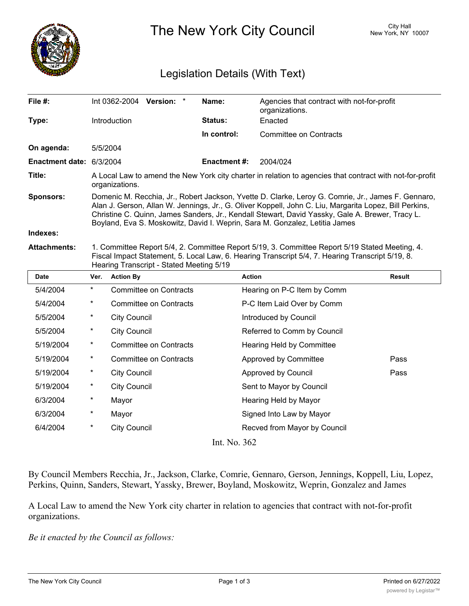

The New York City Council New York, NY 10007

## Legislation Details (With Text)

| File #:                  |                                                                                                                                                                                                                                                                                                                                                                                                |                     | Int 0362-2004 Version:        | $\star$ | Name:               | Agencies that contract with not-for-profit<br>organizations. |               |
|--------------------------|------------------------------------------------------------------------------------------------------------------------------------------------------------------------------------------------------------------------------------------------------------------------------------------------------------------------------------------------------------------------------------------------|---------------------|-------------------------------|---------|---------------------|--------------------------------------------------------------|---------------|
| Type:                    |                                                                                                                                                                                                                                                                                                                                                                                                | Introduction        |                               |         | Status:             | Enacted                                                      |               |
|                          |                                                                                                                                                                                                                                                                                                                                                                                                |                     |                               |         | In control:         | <b>Committee on Contracts</b>                                |               |
| On agenda:               | 5/5/2004                                                                                                                                                                                                                                                                                                                                                                                       |                     |                               |         |                     |                                                              |               |
| Enactment date: 6/3/2004 |                                                                                                                                                                                                                                                                                                                                                                                                |                     |                               |         | <b>Enactment #:</b> | 2004/024                                                     |               |
| Title:                   | A Local Law to amend the New York city charter in relation to agencies that contract with not-for-profit<br>organizations.                                                                                                                                                                                                                                                                     |                     |                               |         |                     |                                                              |               |
| <b>Sponsors:</b>         | Domenic M. Recchia, Jr., Robert Jackson, Yvette D. Clarke, Leroy G. Comrie, Jr., James F. Gennaro,<br>Alan J. Gerson, Allan W. Jennings, Jr., G. Oliver Koppell, John C. Liu, Margarita Lopez, Bill Perkins,<br>Christine C. Quinn, James Sanders, Jr., Kendall Stewart, David Yassky, Gale A. Brewer, Tracy L.<br>Boyland, Eva S. Moskowitz, David I. Weprin, Sara M. Gonzalez, Letitia James |                     |                               |         |                     |                                                              |               |
| Indexes:                 |                                                                                                                                                                                                                                                                                                                                                                                                |                     |                               |         |                     |                                                              |               |
| <b>Attachments:</b>      | 1. Committee Report 5/4, 2. Committee Report 5/19, 3. Committee Report 5/19 Stated Meeting, 4.<br>Fiscal Impact Statement, 5. Local Law, 6. Hearing Transcript 5/4, 7. Hearing Transcript 5/19, 8.<br>Hearing Transcript - Stated Meeting 5/19                                                                                                                                                 |                     |                               |         |                     |                                                              |               |
|                          |                                                                                                                                                                                                                                                                                                                                                                                                |                     |                               |         |                     |                                                              |               |
| <b>Date</b>              | Ver.                                                                                                                                                                                                                                                                                                                                                                                           | <b>Action By</b>    |                               |         |                     | <b>Action</b>                                                | <b>Result</b> |
| 5/4/2004                 | $\star$                                                                                                                                                                                                                                                                                                                                                                                        |                     | <b>Committee on Contracts</b> |         |                     | Hearing on P-C Item by Comm                                  |               |
| 5/4/2004                 | $\ast$                                                                                                                                                                                                                                                                                                                                                                                         |                     | <b>Committee on Contracts</b> |         |                     | P-C Item Laid Over by Comm                                   |               |
| 5/5/2004                 | $\ast$                                                                                                                                                                                                                                                                                                                                                                                         | <b>City Council</b> |                               |         |                     | Introduced by Council                                        |               |
| 5/5/2004                 | $^\star$                                                                                                                                                                                                                                                                                                                                                                                       | <b>City Council</b> |                               |         |                     | Referred to Comm by Council                                  |               |
| 5/19/2004                | $\star$                                                                                                                                                                                                                                                                                                                                                                                        |                     | <b>Committee on Contracts</b> |         |                     | Hearing Held by Committee                                    |               |
| 5/19/2004                | $\ast$                                                                                                                                                                                                                                                                                                                                                                                         |                     | <b>Committee on Contracts</b> |         |                     | Approved by Committee                                        | Pass          |
| 5/19/2004                | $^\star$                                                                                                                                                                                                                                                                                                                                                                                       | <b>City Council</b> |                               |         |                     | Approved by Council                                          | Pass          |
| 5/19/2004                | $^\star$                                                                                                                                                                                                                                                                                                                                                                                       | <b>City Council</b> |                               |         |                     | Sent to Mayor by Council                                     |               |
| 6/3/2004                 | $^{\star}$                                                                                                                                                                                                                                                                                                                                                                                     | Mayor               |                               |         |                     | Hearing Held by Mayor                                        |               |
| 6/3/2004                 | $\ast$                                                                                                                                                                                                                                                                                                                                                                                         | Mayor               |                               |         |                     | Signed Into Law by Mayor                                     |               |

Int. No. 362

By Council Members Recchia, Jr., Jackson, Clarke, Comrie, Gennaro, Gerson, Jennings, Koppell, Liu, Lopez, Perkins, Quinn, Sanders, Stewart, Yassky, Brewer, Boyland, Moskowitz, Weprin, Gonzalez and James

A Local Law to amend the New York city charter in relation to agencies that contract with not-for-profit organizations.

*Be it enacted by the Council as follows:*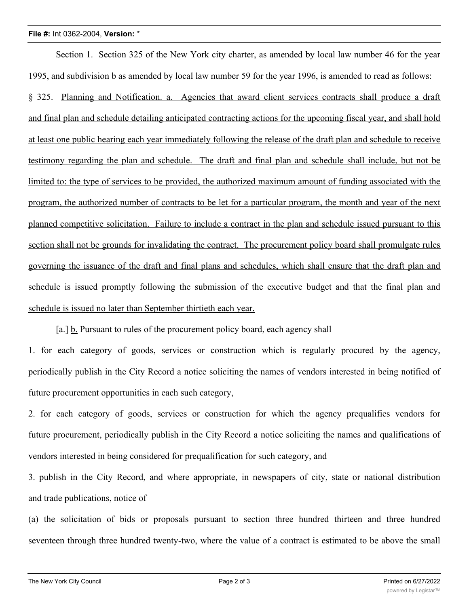## **File #:** Int 0362-2004, **Version:** \*

Section 1. Section 325 of the New York city charter, as amended by local law number 46 for the year 1995, and subdivision b as amended by local law number 59 for the year 1996, is amended to read as follows: § 325. Planning and Notification. a. Agencies that award client services contracts shall produce a draft and final plan and schedule detailing anticipated contracting actions for the upcoming fiscal year, and shall hold at least one public hearing each year immediately following the release of the draft plan and schedule to receive testimony regarding the plan and schedule. The draft and final plan and schedule shall include, but not be limited to: the type of services to be provided, the authorized maximum amount of funding associated with the program, the authorized number of contracts to be let for a particular program, the month and year of the next planned competitive solicitation. Failure to include a contract in the plan and schedule issued pursuant to this section shall not be grounds for invalidating the contract. The procurement policy board shall promulgate rules governing the issuance of the draft and final plans and schedules, which shall ensure that the draft plan and schedule is issued promptly following the submission of the executive budget and that the final plan and schedule is issued no later than September thirtieth each year.

[a.] b. Pursuant to rules of the procurement policy board, each agency shall

1. for each category of goods, services or construction which is regularly procured by the agency, periodically publish in the City Record a notice soliciting the names of vendors interested in being notified of future procurement opportunities in each such category,

2. for each category of goods, services or construction for which the agency prequalifies vendors for future procurement, periodically publish in the City Record a notice soliciting the names and qualifications of vendors interested in being considered for prequalification for such category, and

3. publish in the City Record, and where appropriate, in newspapers of city, state or national distribution and trade publications, notice of

(a) the solicitation of bids or proposals pursuant to section three hundred thirteen and three hundred seventeen through three hundred twenty-two, where the value of a contract is estimated to be above the small